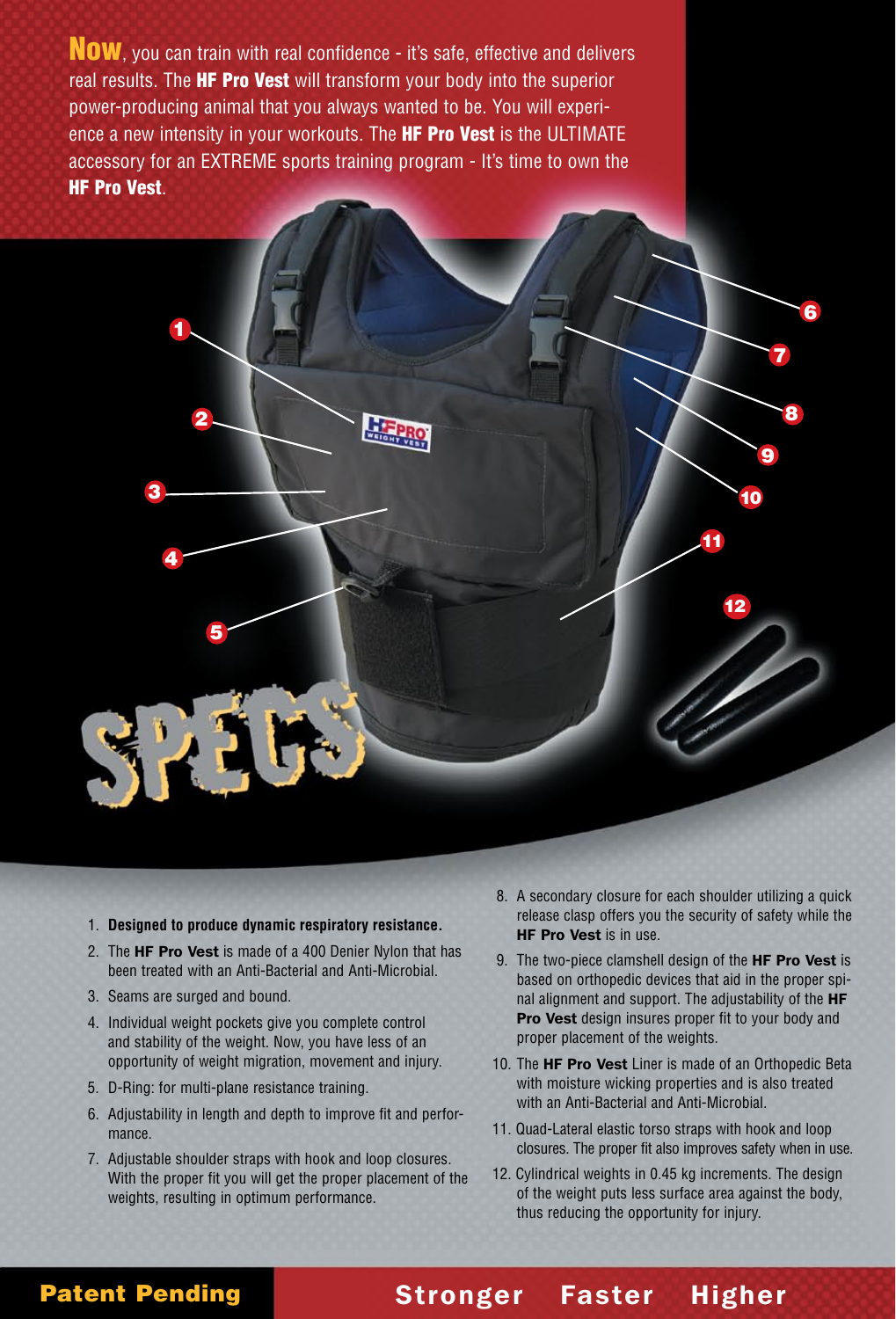Now, you can train with real confidence - it's safe, effective and delivers real results. The **HF Pro Vest** will transform your body into the superior power-producing animal that you always wanted to be. You will experience a new intensity in your workouts. The **HF Pro Vest** is the ULTIMATE accessory for an EXTREME sports training program - It's time to own the HF Pro Vest.

 $2$  8



- 2. The HF Pro Vest is made of a 400 Denier Nylon that has been treated with an Anti-Bacterial and Anti-Microbial.
- 3. Seams are surged and bound.

5

4

1

3

- 4. Individual weight pockets give you complete control and stability of the weight. Now, you have less of an opportunity of weight migration, movement and injury.
- 5. D-Ring: for multi-plane resistance training.
- 6. Adjustability in length and depth to improve fit and performance.
- 7. Adjustable shoulder straps with hook and loop closures. With the proper fit you will get the proper placement of the weights, resulting in optimum performance.

 8. A secondary closure for each shoulder utilizing a quick release clasp offers you the security of safety while the HF Pro Vest is in use.

7

6

10

11

12

9

- 9. The two-piece clamshell design of the HF Pro Vest is based on orthopedic devices that aid in the proper spinal alignment and support. The adjustability of the HF Pro Vest design insures proper fit to your body and proper placement of the weights.
- 10. The HF Pro Vest Liner is made of an Orthopedic Beta with moisture wicking properties and is also treated with an Anti-Bacterial and Anti-Microbial.
- 11. Quad-Lateral elastic torso straps with hook and loop closures. The proper fit also improves safety when in use.
- 12. Cylindrical weights in 0.45 kg increments. The design of the weight puts less surface area against the body, thus reducing the opportunity for injury.

Stronger Faster Higher

### Patent Pending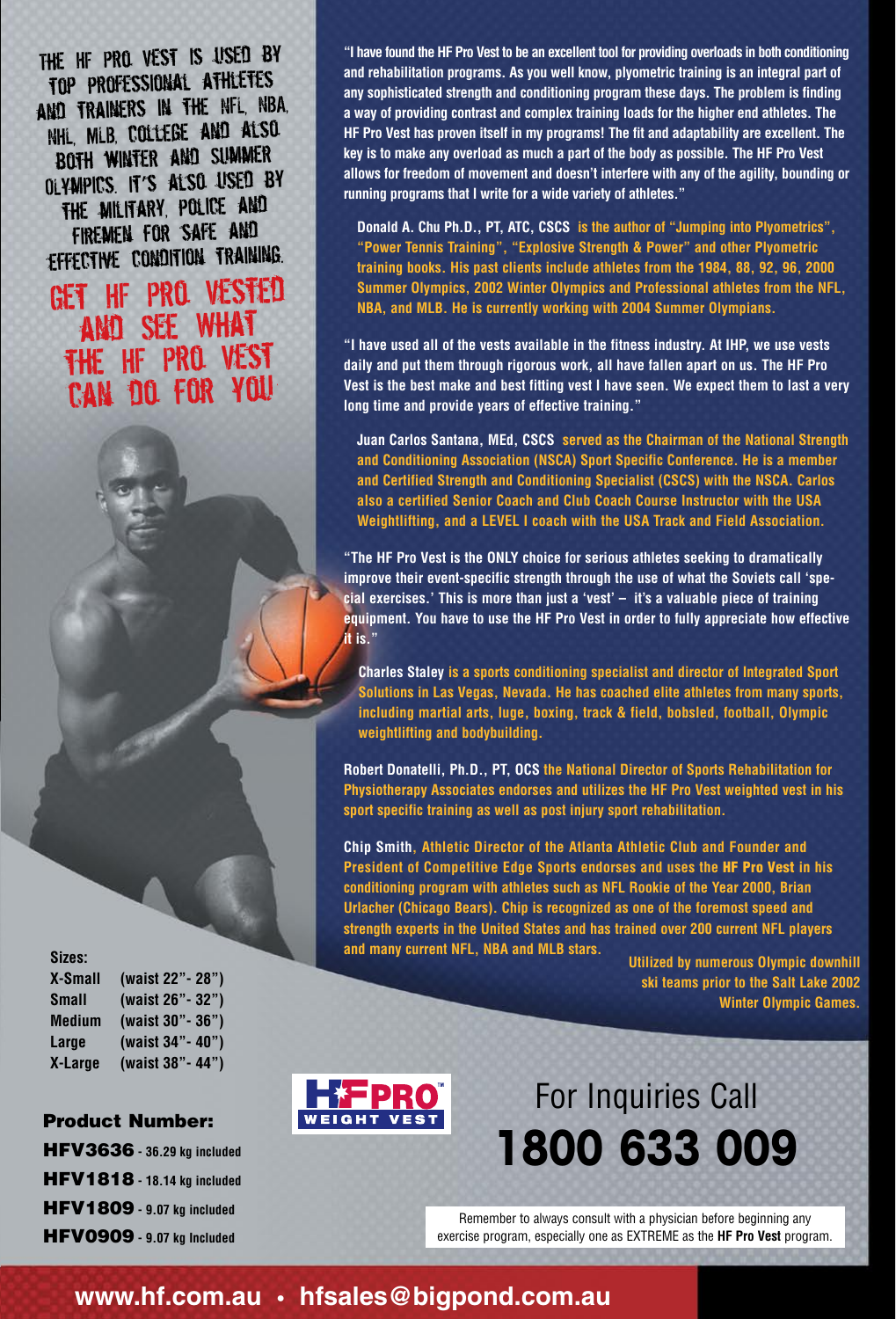The HF Pro Vest is used by top professional athletes and trainers in the NFL, NBA, NHL, MLB, COLLEGE AND ALSO. both winter and Summer OLympics. It's also used by the military, police and firemen for safe and effective condition training.

Get HF Pro Vested and See What the HF Pro Vest can do for you

**Sizes: X-Small (waist 22"- 28") Small (waist 26"- 32") Medium (waist 30"- 36") Large (waist 34"- 40") X-Large (waist 38"- 44")**

Product Number:

HFV3636 **- 36.29 kg included**  HFV1818 **- 18.14 kg included**  HFV1809 **- 9.07 kg included**  HFV0909 **- 9.07 kg Included**

**"I have found the HF Pro Vest to be an excellent tool for providing overloads in both conditioning and rehabilitation programs. As you well know, plyometric training is an integral part of any sophisticated strength and conditioning program these days. The problem is finding a way of providing contrast and complex training loads for the higher end athletes. The HF Pro Vest has proven itself in my programs! The fit and adaptability are excellent. The key is to make any overload as much a part of the body as possible. The HF Pro Vest allows for freedom of movement and doesn't interfere with any of the agility, bounding or running programs that I write for a wide variety of athletes."**

**Donald A. Chu Ph.D., PT, ATC, CSCS is the author of "Jumping into Plyometrics", "Power Tennis Training", "Explosive Strength & Power" and other Plyometric training books. His past clients include athletes from the 1984, 88, 92, 96, 2000 Summer Olympics, 2002 Winter Olympics and Professional athletes from the NFL, NBA, and MLB. He is currently working with 2004 Summer Olympians.** 

**"I have used all of the vests available in the fitness industry. At IHP, we use vests daily and put them through rigorous work, all have fallen apart on us. The HF Pro Vest is the best make and best fitting vest I have seen. We expect them to last a very long time and provide years of effective training."**

**Juan Carlos Santana, MEd, CSCS served as the Chairman of the National Strength and Conditioning Association (NSCA) Sport Specific Conference. He is a member and Certified Strength and Conditioning Specialist (CSCS) with the NSCA. Carlos also a certified Senior Coach and Club Coach Course Instructor with the USA Weightlifting, and a LEVEL I coach with the USA Track and Field Association.** 

**"The HF Pro Vest is the ONLY choice for serious athletes seeking to dramatically improve their event-specific strength through the use of what the Soviets call 'special exercises.' This is more than just a 'vest' – it's a valuable piece of training equipment. You have to use the HF Pro Vest in order to fully appreciate how effective it is."**

**Charles Staley is a sports conditioning specialist and director of Integrated Sport Solutions in Las Vegas, Nevada. He has coached elite athletes from many sports, including martial arts, luge, boxing, track & field, bobsled, football, Olympic weightlifting and bodybuilding.** 

**Robert Donatelli, Ph.D., PT, OCS the National Director of Sports Rehabilitation for Physiotherapy Associates endorses and utilizes the HF Pro Vest weighted vest in his sport specific training as well as post injury sport rehabilitation.**

**Chip Smith, Athletic Director of the Atlanta Athletic Club and Founder and President of Competitive Edge Sports endorses and uses the** HF Pro Vest **in his conditioning program with athletes such as NFL Rookie of the Year 2000, Brian Urlacher (Chicago Bears). Chip is recognized as one of the foremost speed and strength experts in the United States and has trained over 200 current NFL players and many current NFL, NBA and MLB stars.**

**Utilized by numerous Olympic downhill ski teams prior to the Salt Lake 2002 Winter Olympic Games.**



## For Inquiries Call **1800 633 009**

Remember to always consult with a physician before beginning any exercise program, especially one as EXTREME as the **HF Pro Vest** program.

## **www.hf.com.au • hfsales@bigpond.com.au**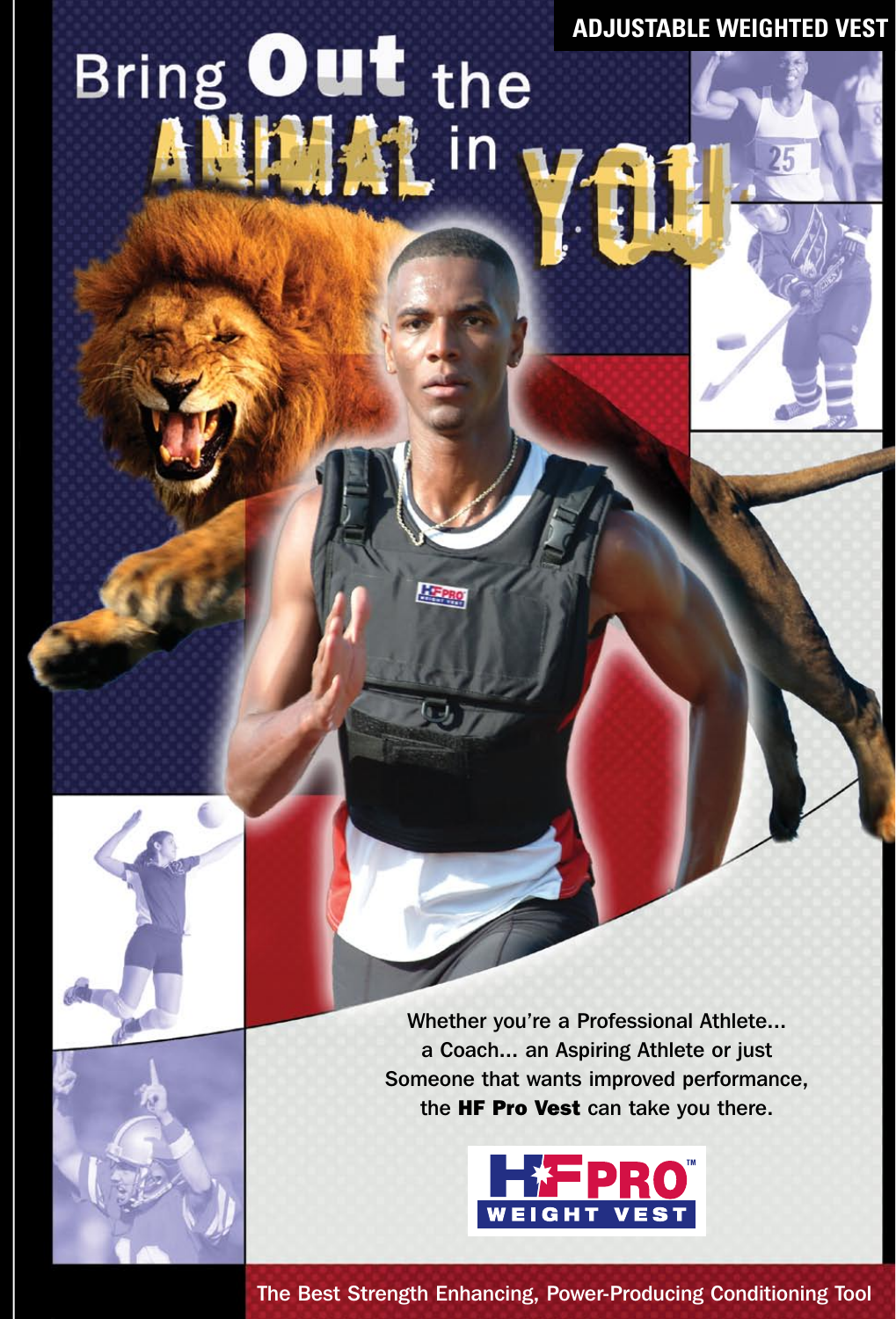**ADJUSTABLE WEIGHTED VEST**

# Bring Out the



Whether you're a Professional Athlete... a Coach... an Aspiring Athlete or just Someone that wants improved performance, the HF Pro Vest can take you there.



The Best Strength Enhancing, Power-Producing Conditioning Tool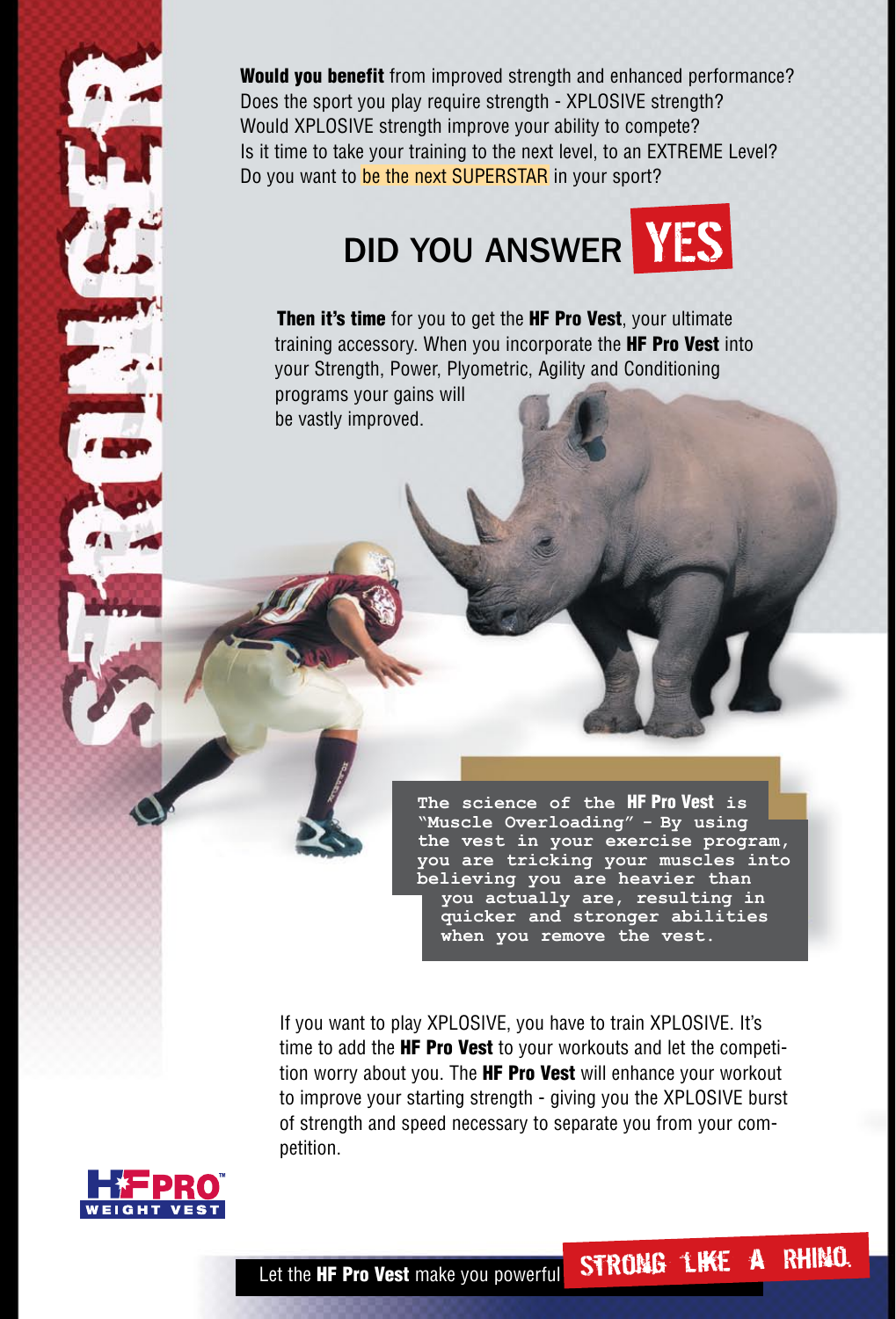Would you benefit from improved strength and enhanced performance? Does the sport you play require strength - XPLOSIVE strength? Would XPLOSIVE strength improve your ability to compete? Is it time to take your training to the next level, to an EXTREME Level? Do you want to be the next SUPERSTAR in your sport?

# DID YOU ANSWER **YES**

Then it's time for you to get the HF Pro Vest, your ultimate training accessory. When you incorporate the **HF Pro Vest** into your Strength, Power, Plyometric, Agility and Conditioning

programs your gains will be vastly improved.

> **The science of the** HF Pro Vest **is "Muscle Overloading" - By using the vest in your exercise program, you are tricking your muscles into believing you are heavier than you actually are, resulting in quicker and stronger abilities when you remove the vest.**

If you want to play XPLOSIVE, you have to train XPLOSIVE. It's time to add the **HF Pro Vest** to your workouts and let the competition worry about you. The **HF Pro Vest** will enhance your workout to improve your starting strength - giving you the XPLOSIVE burst of strength and speed necessary to separate you from your competition.

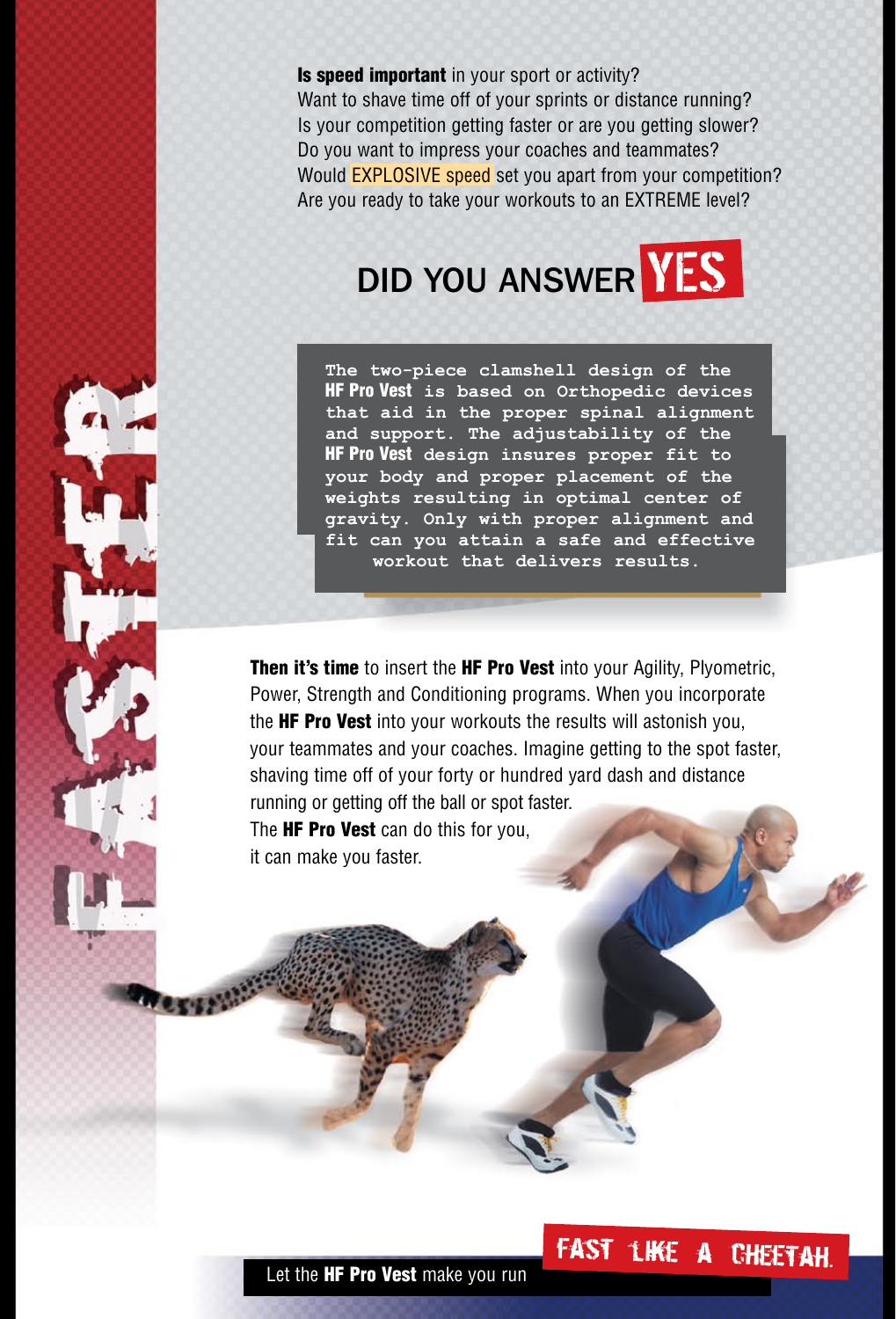**Is speed important** in your sport or activity? Want to shave time off of your sprints or distance running? Is your competition getting faster or are you getting slower? Do you want to impress your coaches and teammates? Would EXPLOSIVE speed set you apart from your competition? Are you ready to take your workouts to an EXTREME level?



**The two-piece clamshell design of the**  HF Pro Vest **is based on Orthopedic devices that aid in the proper spinal alignment and support. The adjustability of the**  HF Pro Vest **design insures proper fit to your body and proper placement of the weights resulting in optimal center of gravity. Only with proper alignment and fit can you attain a safe and effective workout that delivers results.**

Then it's time to insert the HF Pro Vest into your Agility, Plyometric, Power, Strength and Conditioning programs. When you incorporate the **HF Pro Vest** into your workouts the results will astonish you, your teammates and your coaches. Imagine getting to the spot faster, shaving time off of your forty or hundred yard dash and distance running or getting off the ball or spot faster. The **HF Pro Vest** can do this for you.

it can make you faster.

## fast like a cheetah.

Let the **HF Pro Vest** make you run